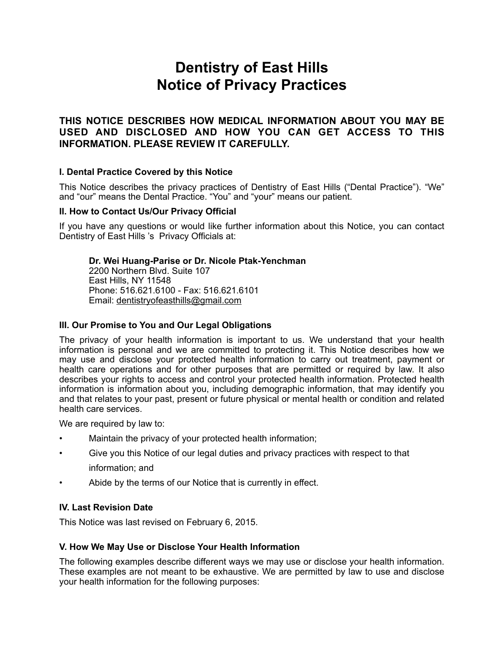# **Dentistry of East Hills Notice of Privacy Practices**

## **THIS NOTICE DESCRIBES HOW MEDICAL INFORMATION ABOUT YOU MAY BE USED AND DISCLOSED AND HOW YOU CAN GET ACCESS TO THIS INFORMATION. PLEASE REVIEW IT CAREFULLY.**

## **I. Dental Practice Covered by this Notice**

This Notice describes the privacy practices of Dentistry of East Hills ("Dental Practice"). "We" and "our" means the Dental Practice. "You" and "your" means our patient.

## **II. How to Contact Us/Our Privacy Official**

If you have any questions or would like further information about this Notice, you can contact Dentistry of East Hills 's Privacy Officials at:

## **Dr. Wei Huang-Parise or Dr. Nicole Ptak-Yenchman**

 2200 Northern Blvd. Suite 107 East Hills, NY 11548 Phone: 516.621.6100 - Fax: 516.621.6101 Email: [dentistryofeasthills@gmail.com](mailto:dentistryofeasthills@gmail.com)

## **III. Our Promise to You and Our Legal Obligations**

The privacy of your health information is important to us. We understand that your health information is personal and we are committed to protecting it. This Notice describes how we may use and disclose your protected health information to carry out treatment, payment or health care operations and for other purposes that are permitted or required by law. It also describes your rights to access and control your protected health information. Protected health information is information about you, including demographic information, that may identify you and that relates to your past, present or future physical or mental health or condition and related health care services.

We are required by law to:

- Maintain the privacy of your protected health information;
- Give you this Notice of our legal duties and privacy practices with respect to that information; and
- Abide by the terms of our Notice that is currently in effect.

## **IV. Last Revision Date**

This Notice was last revised on February 6, 2015.

#### **V. How We May Use or Disclose Your Health Information**

The following examples describe different ways we may use or disclose your health information. These examples are not meant to be exhaustive. We are permitted by law to use and disclose your health information for the following purposes: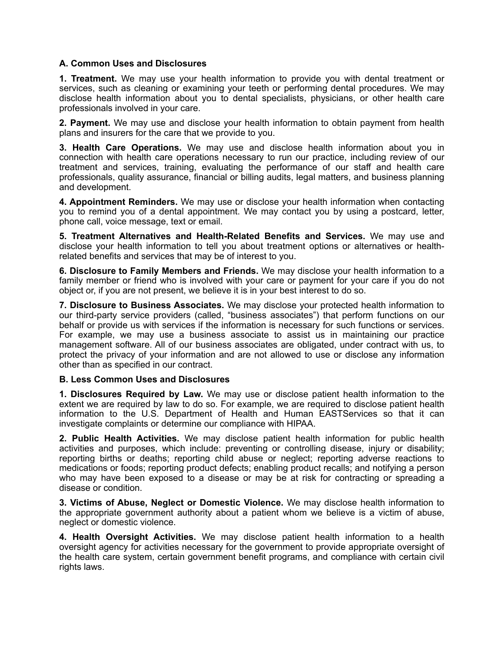## **A. Common Uses and Disclosures**

**1. Treatment.** We may use your health information to provide you with dental treatment or services, such as cleaning or examining your teeth or performing dental procedures. We may disclose health information about you to dental specialists, physicians, or other health care professionals involved in your care.

**2. Payment.** We may use and disclose your health information to obtain payment from health plans and insurers for the care that we provide to you.

**3. Health Care Operations.** We may use and disclose health information about you in connection with health care operations necessary to run our practice, including review of our treatment and services, training, evaluating the performance of our staff and health care professionals, quality assurance, financial or billing audits, legal matters, and business planning and development.

**4. Appointment Reminders.** We may use or disclose your health information when contacting you to remind you of a dental appointment. We may contact you by using a postcard, letter, phone call, voice message, text or email.

**5. Treatment Alternatives and Health-Related Benefits and Services.** We may use and disclose your health information to tell you about treatment options or alternatives or healthrelated benefits and services that may be of interest to you.

**6. Disclosure to Family Members and Friends.** We may disclose your health information to a family member or friend who is involved with your care or payment for your care if you do not object or, if you are not present, we believe it is in your best interest to do so.

**7. Disclosure to Business Associates.** We may disclose your protected health information to our third-party service providers (called, "business associates") that perform functions on our behalf or provide us with services if the information is necessary for such functions or services. For example, we may use a business associate to assist us in maintaining our practice management software. All of our business associates are obligated, under contract with us, to protect the privacy of your information and are not allowed to use or disclose any information other than as specified in our contract.

#### **B. Less Common Uses and Disclosures**

**1. Disclosures Required by Law.** We may use or disclose patient health information to the extent we are required by law to do so. For example, we are required to disclose patient health information to the U.S. Department of Health and Human EASTServices so that it can investigate complaints or determine our compliance with HIPAA.

**2. Public Health Activities.** We may disclose patient health information for public health activities and purposes, which include: preventing or controlling disease, injury or disability; reporting births or deaths; reporting child abuse or neglect; reporting adverse reactions to medications or foods; reporting product defects; enabling product recalls; and notifying a person who may have been exposed to a disease or may be at risk for contracting or spreading a disease or condition.

**3. Victims of Abuse, Neglect or Domestic Violence.** We may disclose health information to the appropriate government authority about a patient whom we believe is a victim of abuse, neglect or domestic violence.

**4. Health Oversight Activities.** We may disclose patient health information to a health oversight agency for activities necessary for the government to provide appropriate oversight of the health care system, certain government benefit programs, and compliance with certain civil rights laws.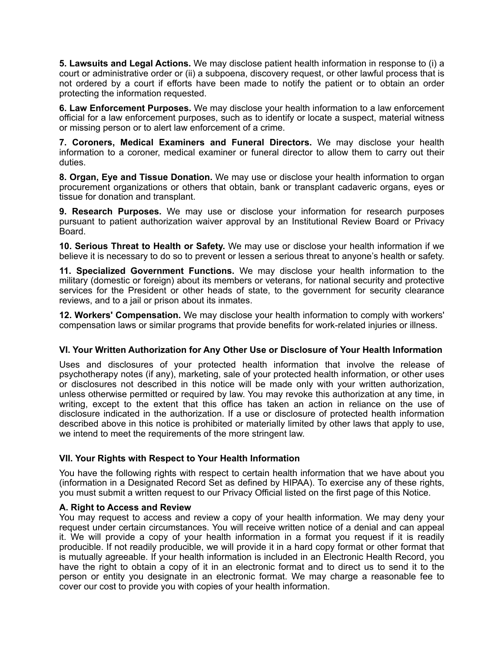**5. Lawsuits and Legal Actions.** We may disclose patient health information in response to (i) a court or administrative order or (ii) a subpoena, discovery request, or other lawful process that is not ordered by a court if efforts have been made to notify the patient or to obtain an order protecting the information requested.

**6. Law Enforcement Purposes.** We may disclose your health information to a law enforcement official for a law enforcement purposes, such as to identify or locate a suspect, material witness or missing person or to alert law enforcement of a crime.

**7. Coroners, Medical Examiners and Funeral Directors.** We may disclose your health information to a coroner, medical examiner or funeral director to allow them to carry out their duties.

**8. Organ, Eye and Tissue Donation.** We may use or disclose your health information to organ procurement organizations or others that obtain, bank or transplant cadaveric organs, eyes or tissue for donation and transplant.

**9. Research Purposes.** We may use or disclose your information for research purposes pursuant to patient authorization waiver approval by an Institutional Review Board or Privacy Board.

**10. Serious Threat to Health or Safety.** We may use or disclose your health information if we believe it is necessary to do so to prevent or lessen a serious threat to anyone's health or safety.

**11. Specialized Government Functions.** We may disclose your health information to the military (domestic or foreign) about its members or veterans, for national security and protective services for the President or other heads of state, to the government for security clearance reviews, and to a jail or prison about its inmates.

**12. Workers' Compensation.** We may disclose your health information to comply with workers' compensation laws or similar programs that provide benefits for work-related injuries or illness.

## **VI. Your Written Authorization for Any Other Use or Disclosure of Your Health Information**

Uses and disclosures of your protected health information that involve the release of psychotherapy notes (if any), marketing, sale of your protected health information, or other uses or disclosures not described in this notice will be made only with your written authorization, unless otherwise permitted or required by law. You may revoke this authorization at any time, in writing, except to the extent that this office has taken an action in reliance on the use of disclosure indicated in the authorization. If a use or disclosure of protected health information described above in this notice is prohibited or materially limited by other laws that apply to use, we intend to meet the requirements of the more stringent law.

## **VII. Your Rights with Respect to Your Health Information**

You have the following rights with respect to certain health information that we have about you (information in a Designated Record Set as defined by HIPAA). To exercise any of these rights, you must submit a written request to our Privacy Official listed on the first page of this Notice.

## **A. Right to Access and Review**

You may request to access and review a copy of your health information. We may deny your request under certain circumstances. You will receive written notice of a denial and can appeal it. We will provide a copy of your health information in a format you request if it is readily producible. If not readily producible, we will provide it in a hard copy format or other format that is mutually agreeable. If your health information is included in an Electronic Health Record, you have the right to obtain a copy of it in an electronic format and to direct us to send it to the person or entity you designate in an electronic format. We may charge a reasonable fee to cover our cost to provide you with copies of your health information.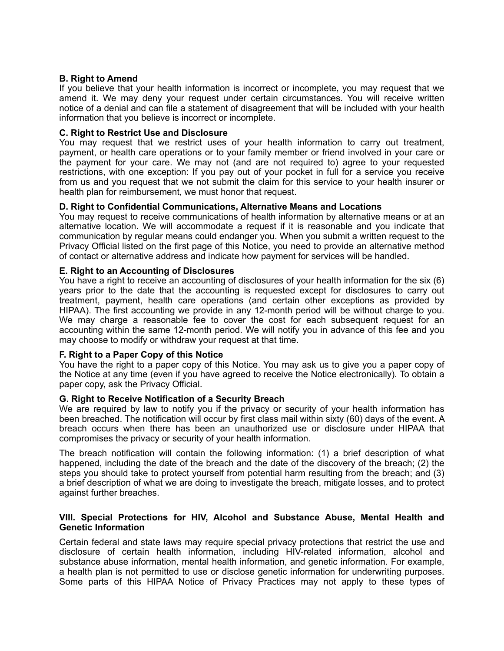#### **B. Right to Amend**

If you believe that your health information is incorrect or incomplete, you may request that we amend it. We may deny your request under certain circumstances. You will receive written notice of a denial and can file a statement of disagreement that will be included with your health information that you believe is incorrect or incomplete.

#### **C. Right to Restrict Use and Disclosure**

You may request that we restrict uses of your health information to carry out treatment, payment, or health care operations or to your family member or friend involved in your care or the payment for your care. We may not (and are not required to) agree to your requested restrictions, with one exception: If you pay out of your pocket in full for a service you receive from us and you request that we not submit the claim for this service to your health insurer or health plan for reimbursement, we must honor that request.

## **D. Right to Confidential Communications, Alternative Means and Locations**

You may request to receive communications of health information by alternative means or at an alternative location. We will accommodate a request if it is reasonable and you indicate that communication by regular means could endanger you. When you submit a written request to the Privacy Official listed on the first page of this Notice, you need to provide an alternative method of contact or alternative address and indicate how payment for services will be handled.

#### **E. Right to an Accounting of Disclosures**

You have a right to receive an accounting of disclosures of your health information for the six (6) years prior to the date that the accounting is requested except for disclosures to carry out treatment, payment, health care operations (and certain other exceptions as provided by HIPAA). The first accounting we provide in any 12-month period will be without charge to you. We may charge a reasonable fee to cover the cost for each subsequent request for an accounting within the same 12-month period. We will notify you in advance of this fee and you may choose to modify or withdraw your request at that time.

#### **F. Right to a Paper Copy of this Notice**

You have the right to a paper copy of this Notice. You may ask us to give you a paper copy of the Notice at any time (even if you have agreed to receive the Notice electronically). To obtain a paper copy, ask the Privacy Official.

#### **G. Right to Receive Notification of a Security Breach**

We are required by law to notify you if the privacy or security of your health information has been breached. The notification will occur by first class mail within sixty (60) days of the event. A breach occurs when there has been an unauthorized use or disclosure under HIPAA that compromises the privacy or security of your health information.

The breach notification will contain the following information: (1) a brief description of what happened, including the date of the breach and the date of the discovery of the breach; (2) the steps you should take to protect yourself from potential harm resulting from the breach; and (3) a brief description of what we are doing to investigate the breach, mitigate losses, and to protect against further breaches.

#### **VIII. Special Protections for HIV, Alcohol and Substance Abuse, Mental Health and Genetic Information**

Certain federal and state laws may require special privacy protections that restrict the use and disclosure of certain health information, including HIV-related information, alcohol and substance abuse information, mental health information, and genetic information. For example, a health plan is not permitted to use or disclose genetic information for underwriting purposes. Some parts of this HIPAA Notice of Privacy Practices may not apply to these types of